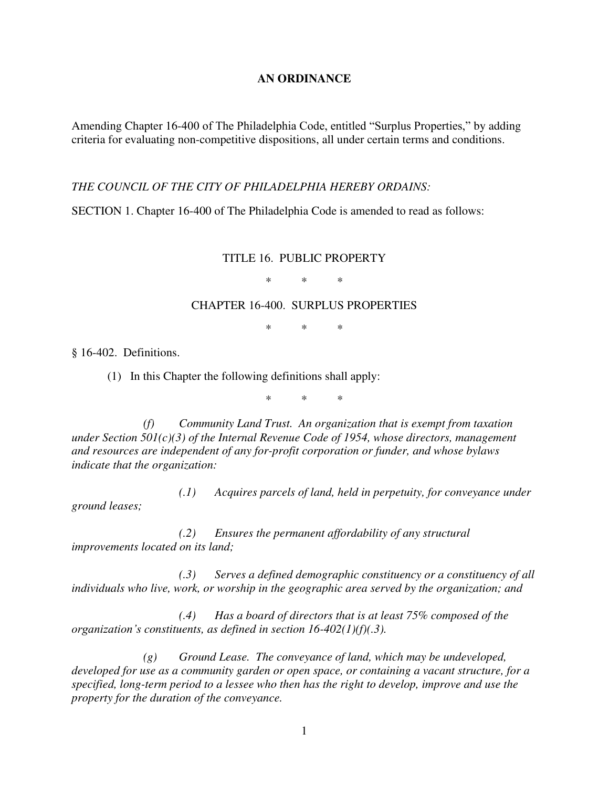## **AN ORDINANCE**

Amending Chapter 16-400 of The Philadelphia Code, entitled "Surplus Properties," by adding criteria for evaluating non-competitive dispositions, all under certain terms and conditions.

*THE COUNCIL OF THE CITY OF PHILADELPHIA HEREBY ORDAINS:* 

SECTION 1. Chapter 16-400 of The Philadelphia Code is amended to read as follows:

TITLE 16. PUBLIC PROPERTY

\* \* \*

## CHAPTER 16-400. SURPLUS PROPERTIES

\* \* \*

§ 16-402. Definitions.

(1) In this Chapter the following definitions shall apply:

\* \* \*

*(f) Community Land Trust. An organization that is exempt from taxation under Section 501(c)(3) of the Internal Revenue Code of 1954, whose directors, management and resources are independent of any for-profit corporation or funder, and whose bylaws indicate that the organization:* 

*(.1) Acquires parcels of land, held in perpetuity, for conveyance under ground leases;* 

*(.2) Ensures the permanent affordability of any structural improvements located on its land;* 

*(.3) Serves a defined demographic constituency or a constituency of all individuals who live, work, or worship in the geographic area served by the organization; and* 

*(.4) Has a board of directors that is at least 75% composed of the organization's constituents, as defined in section 16-402(1)(f)(.3).* 

*(g) Ground Lease. The conveyance of land, which may be undeveloped, developed for use as a community garden or open space, or containing a vacant structure, for a specified, long-term period to a lessee who then has the right to develop, improve and use the property for the duration of the conveyance.*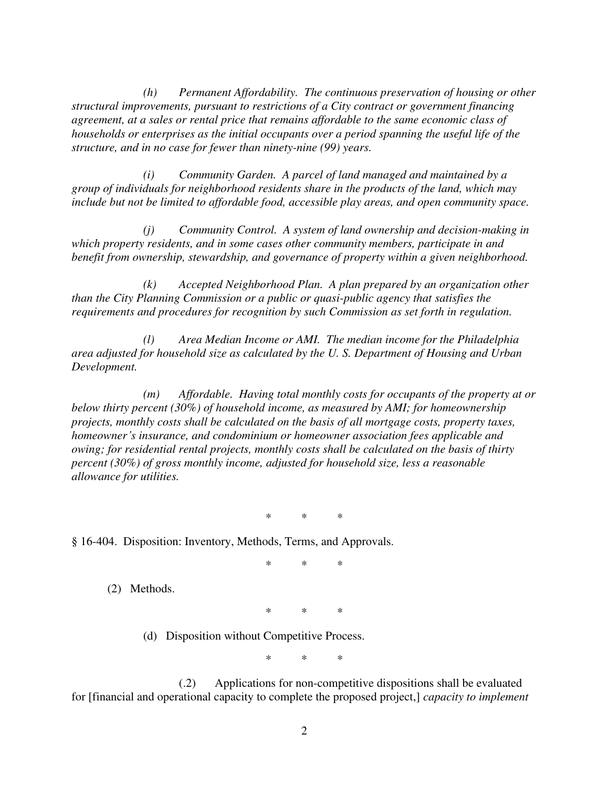*(h) Permanent Affordability. The continuous preservation of housing or other structural improvements, pursuant to restrictions of a City contract or government financing agreement, at a sales or rental price that remains affordable to the same economic class of households or enterprises as the initial occupants over a period spanning the useful life of the structure, and in no case for fewer than ninety-nine (99) years.* 

*(i) Community Garden. A parcel of land managed and maintained by a group of individuals for neighborhood residents share in the products of the land, which may include but not be limited to affordable food, accessible play areas, and open community space.* 

*(j) Community Control. A system of land ownership and decision-making in which property residents, and in some cases other community members, participate in and benefit from ownership, stewardship, and governance of property within a given neighborhood.* 

*(k) Accepted Neighborhood Plan. A plan prepared by an organization other than the City Planning Commission or a public or quasi-public agency that satisfies the requirements and procedures for recognition by such Commission as set forth in regulation.* 

*(l) Area Median Income or AMI. The median income for the Philadelphia area adjusted for household size as calculated by the U. S. Department of Housing and Urban Development.* 

*(m) Affordable. Having total monthly costs for occupants of the property at or below thirty percent (30%) of household income, as measured by AMI; for homeownership projects, monthly costs shall be calculated on the basis of all mortgage costs, property taxes, homeowner's insurance, and condominium or homeowner association fees applicable and owing; for residential rental projects, monthly costs shall be calculated on the basis of thirty percent (30%) of gross monthly income, adjusted for household size, less a reasonable allowance for utilities.* 

\* \* \*

§ 16-404. Disposition: Inventory, Methods, Terms, and Approvals.

\* \* \*

(2) Methods.

\* \* \*

(d) Disposition without Competitive Process.

\* \* \*

(.2) Applications for non-competitive dispositions shall be evaluated for [financial and operational capacity to complete the proposed project,] *capacity to implement*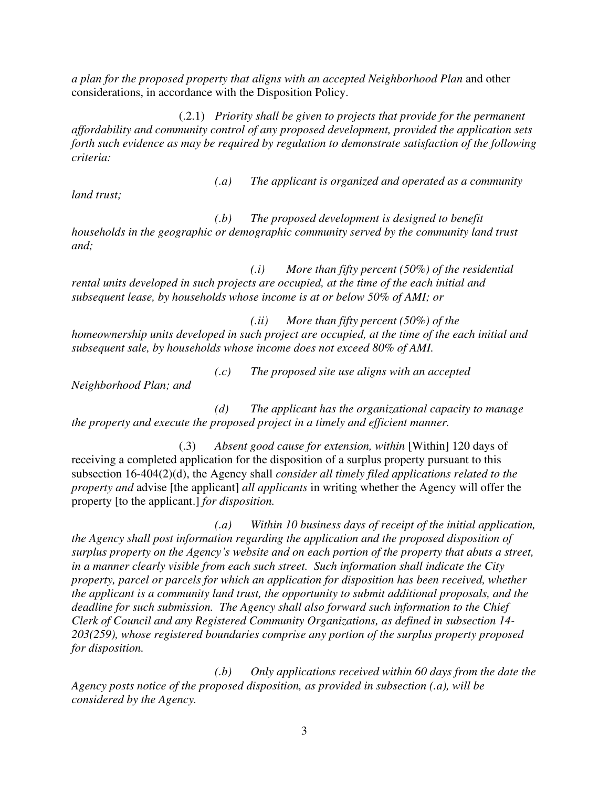*a plan for the proposed property that aligns with an accepted Neighborhood Plan* and other considerations, in accordance with the Disposition Policy.

(.2.1) *Priority shall be given to projects that provide for the permanent affordability and community control of any proposed development, provided the application sets forth such evidence as may be required by regulation to demonstrate satisfaction of the following criteria:* 

*land trust;* 

*(.a) The applicant is organized and operated as a community* 

*(.b) The proposed development is designed to benefit households in the geographic or demographic community served by the community land trust and;* 

*(.i) More than fifty percent (50%) of the residential rental units developed in such projects are occupied, at the time of the each initial and subsequent lease, by households whose income is at or below 50% of AMI; or* 

*(.ii) More than fifty percent (50%) of the homeownership units developed in such project are occupied, at the time of the each initial and subsequent sale, by households whose income does not exceed 80% of AMI.* 

*(.c) The proposed site use aligns with an accepted* 

*Neighborhood Plan; and* 

*(d) The applicant has the organizational capacity to manage the property and execute the proposed project in a timely and efficient manner.* 

(.3) *Absent good cause for extension, within* [Within] 120 days of receiving a completed application for the disposition of a surplus property pursuant to this subsection 16-404(2)(d), the Agency shall *consider all timely filed applications related to the property and* advise [the applicant] *all applicants* in writing whether the Agency will offer the property [to the applicant.] *for disposition.*

*(.a) Within 10 business days of receipt of the initial application, the Agency shall post information regarding the application and the proposed disposition of surplus property on the Agency's website and on each portion of the property that abuts a street, in a manner clearly visible from each such street. Such information shall indicate the City property, parcel or parcels for which an application for disposition has been received, whether the applicant is a community land trust, the opportunity to submit additional proposals, and the deadline for such submission. The Agency shall also forward such information to the Chief Clerk of Council and any Registered Community Organizations, as defined in subsection 14- 203(259), whose registered boundaries comprise any portion of the surplus property proposed for disposition.* 

*(.b) Only applications received within 60 days from the date the Agency posts notice of the proposed disposition, as provided in subsection (.a), will be considered by the Agency.*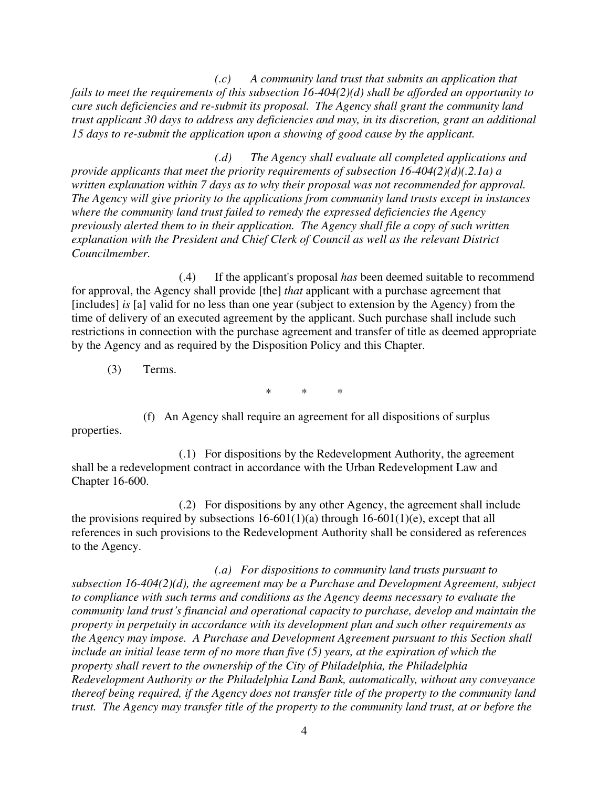*(.c) A community land trust that submits an application that fails to meet the requirements of this subsection 16-404(2)(d) shall be afforded an opportunity to cure such deficiencies and re-submit its proposal. The Agency shall grant the community land trust applicant 30 days to address any deficiencies and may, in its discretion, grant an additional 15 days to re-submit the application upon a showing of good cause by the applicant.* 

*(.d) The Agency shall evaluate all completed applications and provide applicants that meet the priority requirements of subsection 16-404(2)(d)(.2.1a) a written explanation within 7 days as to why their proposal was not recommended for approval. The Agency will give priority to the applications from community land trusts except in instances where the community land trust failed to remedy the expressed deficiencies the Agency previously alerted them to in their application. The Agency shall file a copy of such written explanation with the President and Chief Clerk of Council as well as the relevant District Councilmember.* 

(.4) If the applicant's proposal *has* been deemed suitable to recommend for approval, the Agency shall provide [the] *that* applicant with a purchase agreement that [includes] *is* [a] valid for no less than one year (subject to extension by the Agency) from the time of delivery of an executed agreement by the applicant. Such purchase shall include such restrictions in connection with the purchase agreement and transfer of title as deemed appropriate by the Agency and as required by the Disposition Policy and this Chapter.

(3) Terms.

\* \* \*

(f) An Agency shall require an agreement for all dispositions of surplus properties.

(.1) For dispositions by the Redevelopment Authority, the agreement shall be a redevelopment contract in accordance with the Urban Redevelopment Law and Chapter 16-600.

(.2) For dispositions by any other Agency, the agreement shall include the provisions required by subsections  $16-601(1)(a)$  through  $16-601(1)(e)$ , except that all references in such provisions to the Redevelopment Authority shall be considered as references to the Agency.

*(.a) For dispositions to community land trusts pursuant to subsection 16-404(2)(d), the agreement may be a Purchase and Development Agreement, subject to compliance with such terms and conditions as the Agency deems necessary to evaluate the community land trust's financial and operational capacity to purchase, develop and maintain the property in perpetuity in accordance with its development plan and such other requirements as the Agency may impose. A Purchase and Development Agreement pursuant to this Section shall include an initial lease term of no more than five (5) years, at the expiration of which the property shall revert to the ownership of the City of Philadelphia, the Philadelphia Redevelopment Authority or the Philadelphia Land Bank, automatically, without any conveyance thereof being required, if the Agency does not transfer title of the property to the community land trust. The Agency may transfer title of the property to the community land trust, at or before the*